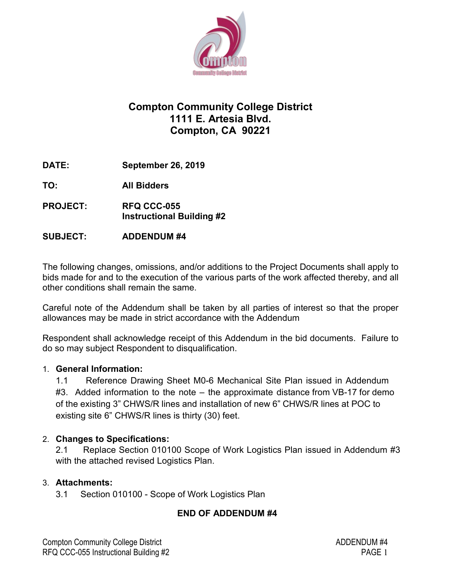

# **Compton Community College District 1111 E. Artesia Blvd. Compton, CA 90221**

**DATE: September 26, 2019**

**TO: All Bidders**

- **PROJECT: RFQ CCC-055 Instructional Building #2**
- **SUBJECT: ADDENDUM #4**

The following changes, omissions, and/or additions to the Project Documents shall apply to bids made for and to the execution of the various parts of the work affected thereby, and all other conditions shall remain the same.

Careful note of the Addendum shall be taken by all parties of interest so that the proper allowances may be made in strict accordance with the Addendum

Respondent shall acknowledge receipt of this Addendum in the bid documents. Failure to do so may subject Respondent to disqualification.

# 1. **General Information:**

1.1 Reference Drawing Sheet M0-6 Mechanical Site Plan issued in Addendum #3. Added information to the note – the approximate distance from VB-17 for demo of the existing 3" CHWS/R lines and installation of new 6" CHWS/R lines at POC to existing site 6" CHWS/R lines is thirty (30) feet.

### 2. **Changes to Specifications:**

2.1 Replace Section 010100 Scope of Work Logistics Plan issued in Addendum #3 with the attached revised Logistics Plan.

# 3. **Attachments:**

3.1 Section 010100 - Scope of Work Logistics Plan

# **END OF ADDENDUM #4**